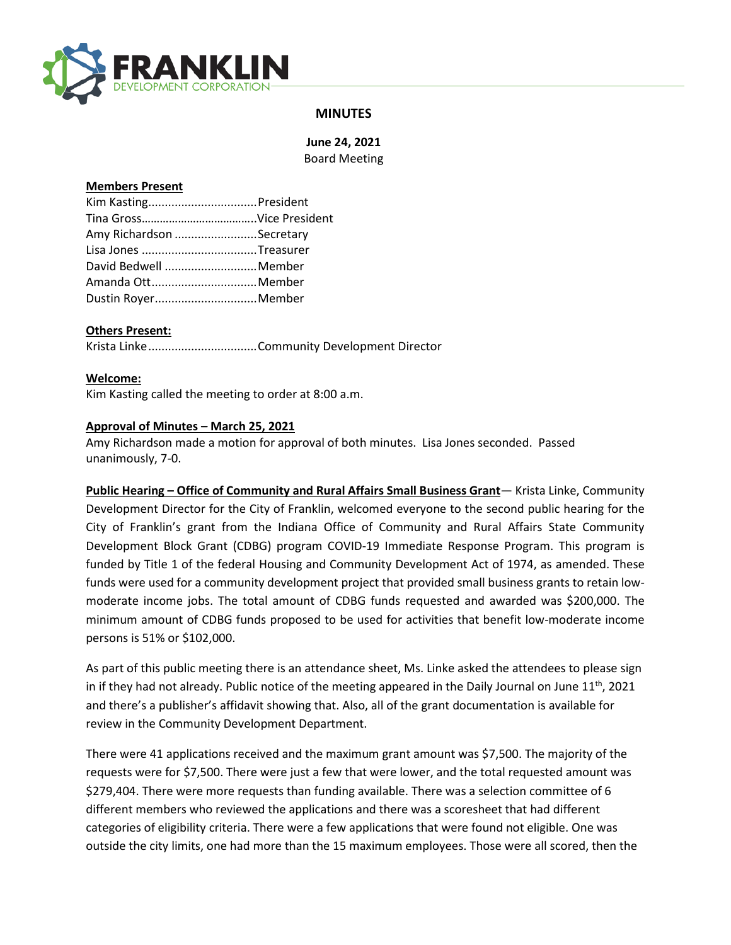

# **MINUTES**

**June 24, 2021** Board Meeting

#### **Members Present**

| Amy Richardson Secretary |  |
|--------------------------|--|
| Lisa Jones Treasurer     |  |
| David Bedwell Member     |  |
| Amanda OttMember         |  |
| Dustin RoyerMember       |  |

# **Others Present:**

Krista Linke.................................Community Development Director

#### **Welcome:**

Kim Kasting called the meeting to order at 8:00 a.m.

#### **Approval of Minutes – March 25, 2021**

Amy Richardson made a motion for approval of both minutes. Lisa Jones seconded. Passed unanimously, 7-0.

**Public Hearing – Office of Community and Rural Affairs Small Business Grant**— Krista Linke, Community Development Director for the City of Franklin, welcomed everyone to the second public hearing for the City of Franklin's grant from the Indiana Office of Community and Rural Affairs State Community Development Block Grant (CDBG) program COVID-19 Immediate Response Program. This program is funded by Title 1 of the federal Housing and Community Development Act of 1974, as amended. These funds were used for a community development project that provided small business grants to retain lowmoderate income jobs. The total amount of CDBG funds requested and awarded was \$200,000. The minimum amount of CDBG funds proposed to be used for activities that benefit low-moderate income persons is 51% or \$102,000.

As part of this public meeting there is an attendance sheet, Ms. Linke asked the attendees to please sign in if they had not already. Public notice of the meeting appeared in the Daily Journal on June  $11<sup>th</sup>$ , 2021 and there's a publisher's affidavit showing that. Also, all of the grant documentation is available for review in the Community Development Department.

There were 41 applications received and the maximum grant amount was \$7,500. The majority of the requests were for \$7,500. There were just a few that were lower, and the total requested amount was \$279,404. There were more requests than funding available. There was a selection committee of 6 different members who reviewed the applications and there was a scoresheet that had different categories of eligibility criteria. There were a few applications that were found not eligible. One was outside the city limits, one had more than the 15 maximum employees. Those were all scored, then the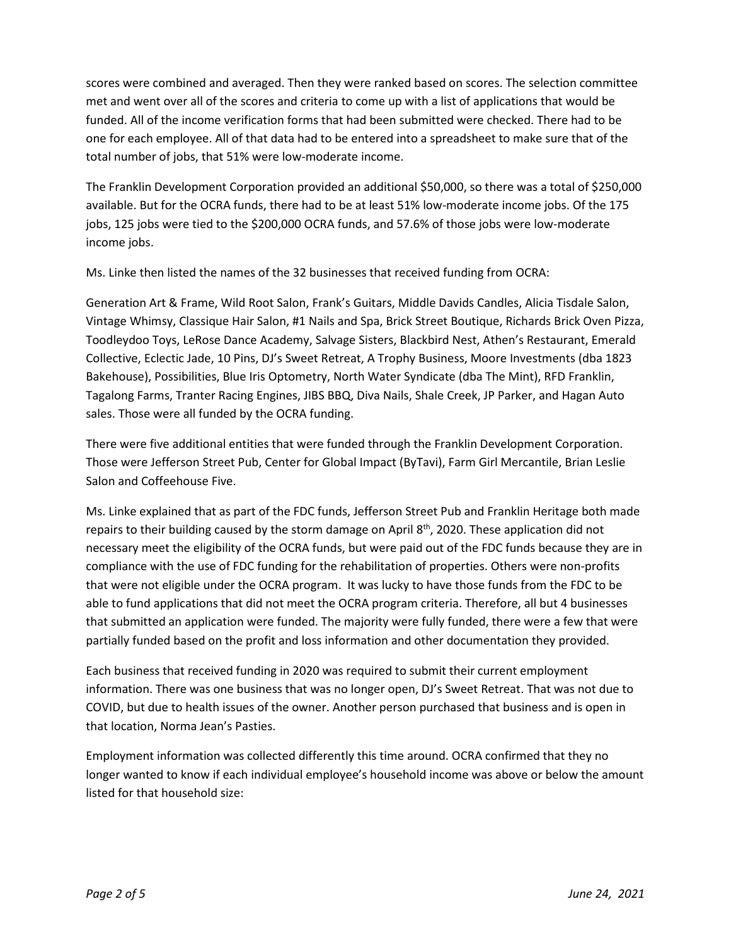scores were combined and averaged. Then they were ranked based on scores. The selection committee met and went over all of the scores and criteria to come up with a list of applications that would be funded. All of the income verification forms that had been submitted were checked. There had to be one for each employee. All of that data had to be entered into a spreadsheet to make sure that of the total number of jobs, that 51% were low-moderate income.

The Franklin Development Corporation provided an additional \$50,000, so there was a total of \$250,000 available. But for the OCRA funds, there had to be at least 51% low-moderate income jobs. Of the 175 jobs, 125 jobs were tied to the \$200,000 OCRA funds, and 57.6% of those jobs were low-moderate income jobs.

Ms. Linke then listed the names of the 32 businesses that received funding from OCRA:

Generation Art & Frame, Wild Root Salon, Frank's Guitars, Middle Davids Candles, Alicia Tisdale Salon, Vintage Whimsy, Classique Hair Salon, #1 Nails and Spa, Brick Street Boutique, Richards Brick Oven Pizza, Toodleydoo Toys, LeRose Dance Academy, Salvage Sisters, Blackbird Nest, Athen's Restaurant, Emerald Collective, Eclectic Jade, 10 Pins, DJ's Sweet Retreat, A Trophy Business, Moore Investments (dba 1823 Bakehouse), Possibilities, Blue Iris Optometry, North Water Syndicate (dba The Mint), RFD Franklin, Tagalong Farms, Tranter Racing Engines, JIBS BBQ, Diva Nails, Shale Creek, JP Parker, and Hagan Auto sales. Those were all funded by the OCRA funding.

There were five additional entities that were funded through the Franklin Development Corporation. Those were Jefferson Street Pub, Center for Global Impact (ByTavi), Farm Girl Mercantile, Brian Leslie Salon and Coffeehouse Five.

Ms. Linke explained that as part of the FDC funds, Jefferson Street Pub and Franklin Heritage both made repairs to their building caused by the storm damage on April 8<sup>th</sup>, 2020. These application did not necessary meet the eligibility of the OCRA funds, but were paid out of the FDC funds because they are in compliance with the use of FDC funding for the rehabilitation of properties. Others were non-profits that were not eligible under the OCRA program. It was lucky to have those funds from the FDC to be able to fund applications that did not meet the OCRA program criteria. Therefore, all but 4 businesses that submitted an application were funded. The majority were fully funded, there were a few that were partially funded based on the profit and loss information and other documentation they provided.

Each business that received funding in 2020 was required to submit their current employment information. There was one business that was no longer open, DJ's Sweet Retreat. That was not due to COVID, but due to health issues of the owner. Another person purchased that business and is open in that location, Norma Jean's Pasties.

Employment information was collected differently this time around. OCRA confirmed that they no longer wanted to know if each individual employee's household income was above or below the amount listed for that household size: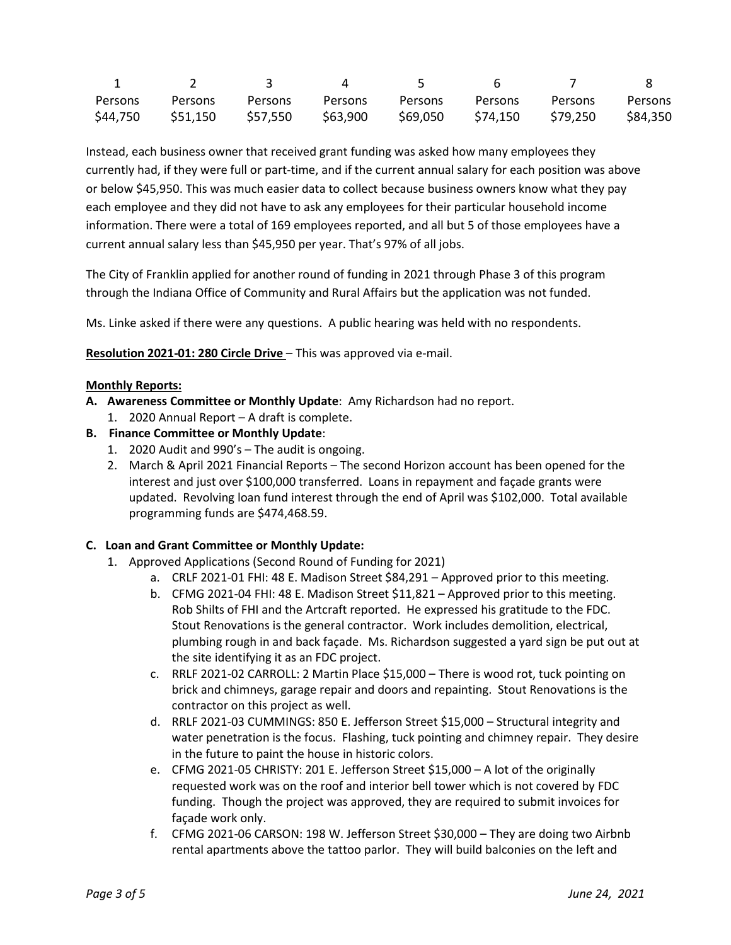| Persons | Persons                    | Persons | Persons  | Persons  | Persons  | Persons  | Persons  |
|---------|----------------------------|---------|----------|----------|----------|----------|----------|
|         | \$44,750 \$51,150 \$57,550 |         | \$63,900 | \$69,050 | \$74,150 | \$79,250 | \$84,350 |

Instead, each business owner that received grant funding was asked how many employees they currently had, if they were full or part-time, and if the current annual salary for each position was above or below \$45,950. This was much easier data to collect because business owners know what they pay each employee and they did not have to ask any employees for their particular household income information. There were a total of 169 employees reported, and all but 5 of those employees have a current annual salary less than \$45,950 per year. That's 97% of all jobs.

The City of Franklin applied for another round of funding in 2021 through Phase 3 of this program through the Indiana Office of Community and Rural Affairs but the application was not funded.

Ms. Linke asked if there were any questions. A public hearing was held with no respondents.

**Resolution 2021-01: 280 Circle Drive** – This was approved via e-mail.

# **Monthly Reports:**

- **A. Awareness Committee or Monthly Update**: Amy Richardson had no report.
	- 1. 2020 Annual Report A draft is complete.
- **B. Finance Committee or Monthly Update**:
	- 1. 2020 Audit and 990's The audit is ongoing.
	- 2. March & April 2021 Financial Reports The second Horizon account has been opened for the interest and just over \$100,000 transferred. Loans in repayment and façade grants were updated. Revolving loan fund interest through the end of April was \$102,000. Total available programming funds are \$474,468.59.

# **C. Loan and Grant Committee or Monthly Update:**

- 1. Approved Applications (Second Round of Funding for 2021)
	- a. CRLF 2021-01 FHI: 48 E. Madison Street \$84,291 Approved prior to this meeting.
	- b. CFMG 2021-04 FHI: 48 E. Madison Street \$11,821 Approved prior to this meeting. Rob Shilts of FHI and the Artcraft reported. He expressed his gratitude to the FDC. Stout Renovations is the general contractor. Work includes demolition, electrical, plumbing rough in and back façade. Ms. Richardson suggested a yard sign be put out at the site identifying it as an FDC project.
	- c. RRLF 2021-02 CARROLL: 2 Martin Place \$15,000 There is wood rot, tuck pointing on brick and chimneys, garage repair and doors and repainting. Stout Renovations is the contractor on this project as well.
	- d. RRLF 2021-03 CUMMINGS: 850 E. Jefferson Street \$15,000 Structural integrity and water penetration is the focus. Flashing, tuck pointing and chimney repair. They desire in the future to paint the house in historic colors.
	- e. CFMG 2021-05 CHRISTY: 201 E. Jefferson Street \$15,000 A lot of the originally requested work was on the roof and interior bell tower which is not covered by FDC funding. Though the project was approved, they are required to submit invoices for façade work only.
	- f. CFMG 2021-06 CARSON: 198 W. Jefferson Street \$30,000 They are doing two Airbnb rental apartments above the tattoo parlor. They will build balconies on the left and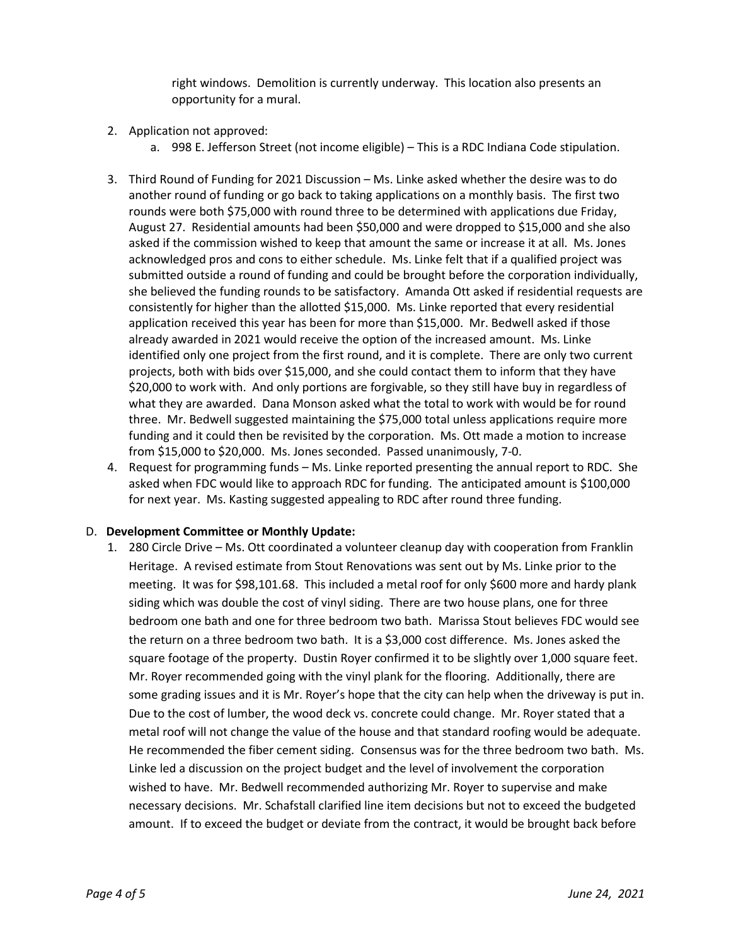right windows. Demolition is currently underway. This location also presents an opportunity for a mural.

- 2. Application not approved:
	- a. 998 E. Jefferson Street (not income eligible) This is a RDC Indiana Code stipulation.
- 3. Third Round of Funding for 2021 Discussion Ms. Linke asked whether the desire was to do another round of funding or go back to taking applications on a monthly basis. The first two rounds were both \$75,000 with round three to be determined with applications due Friday, August 27. Residential amounts had been \$50,000 and were dropped to \$15,000 and she also asked if the commission wished to keep that amount the same or increase it at all. Ms. Jones acknowledged pros and cons to either schedule. Ms. Linke felt that if a qualified project was submitted outside a round of funding and could be brought before the corporation individually, she believed the funding rounds to be satisfactory. Amanda Ott asked if residential requests are consistently for higher than the allotted \$15,000. Ms. Linke reported that every residential application received this year has been for more than \$15,000. Mr. Bedwell asked if those already awarded in 2021 would receive the option of the increased amount. Ms. Linke identified only one project from the first round, and it is complete. There are only two current projects, both with bids over \$15,000, and she could contact them to inform that they have \$20,000 to work with. And only portions are forgivable, so they still have buy in regardless of what they are awarded. Dana Monson asked what the total to work with would be for round three. Mr. Bedwell suggested maintaining the \$75,000 total unless applications require more funding and it could then be revisited by the corporation. Ms. Ott made a motion to increase from \$15,000 to \$20,000. Ms. Jones seconded. Passed unanimously, 7-0.
- 4. Request for programming funds Ms. Linke reported presenting the annual report to RDC. She asked when FDC would like to approach RDC for funding. The anticipated amount is \$100,000 for next year. Ms. Kasting suggested appealing to RDC after round three funding.

# D. **Development Committee or Monthly Update:**

1. 280 Circle Drive – Ms. Ott coordinated a volunteer cleanup day with cooperation from Franklin Heritage. A revised estimate from Stout Renovations was sent out by Ms. Linke prior to the meeting. It was for \$98,101.68. This included a metal roof for only \$600 more and hardy plank siding which was double the cost of vinyl siding. There are two house plans, one for three bedroom one bath and one for three bedroom two bath. Marissa Stout believes FDC would see the return on a three bedroom two bath. It is a \$3,000 cost difference. Ms. Jones asked the square footage of the property. Dustin Royer confirmed it to be slightly over 1,000 square feet. Mr. Royer recommended going with the vinyl plank for the flooring. Additionally, there are some grading issues and it is Mr. Royer's hope that the city can help when the driveway is put in. Due to the cost of lumber, the wood deck vs. concrete could change. Mr. Royer stated that a metal roof will not change the value of the house and that standard roofing would be adequate. He recommended the fiber cement siding. Consensus was for the three bedroom two bath. Ms. Linke led a discussion on the project budget and the level of involvement the corporation wished to have. Mr. Bedwell recommended authorizing Mr. Royer to supervise and make necessary decisions. Mr. Schafstall clarified line item decisions but not to exceed the budgeted amount. If to exceed the budget or deviate from the contract, it would be brought back before